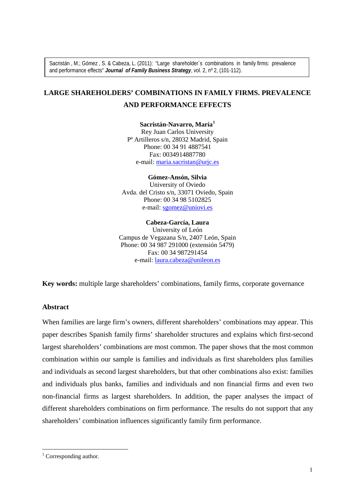Sacristán , M.; Gómez , S. & Cabeza, L. (2011): "Large shareholder´s combinations in family firms: prevalence and performance effects" *Journal of Family Business Strategy*, vol. 2, nº 2, (101-112).

# **LARGE SHAREHOLDERS' COMBINATIONS IN FAMILY FIRMS. PREVALENCE AND PERFORMANCE EFFECTS**

**Sacristán-Navarro, María[1](#page-0-0)** Rey Juan Carlos University Pª Artilleros s/n, 28032 Madrid, Spain Phone: 00 34 91 4887541 Fax: 0034914887780 e-mail: maria.sacristan@urjc.es

**Gómez-Ansón, Silvia** University of Oviedo Avda. del Cristo s/n, 33071 Oviedo, Spain Phone: 00 34 98 5102825 e-mail: [sgomez@uniovi.es](mailto:sacrist@fcjs.urjc.es)

#### **Cabeza-García, Laura**

University of León Campus de Vegazana S/n, 2407 León, Spain Phone: 00 34 987 291000 (extensión 5479) Fax: 00 34 987291454 e-mail: [laura.cabeza@unileon.es](mailto:laura.cabeza@unileon.es)

**Key words:** multiple large shareholders' combinations, family firms, corporate governance

#### **Abstract**

When families are large firm's owners, different shareholders' combinations may appear. This paper describes Spanish family firms' shareholder structures and explains which first-second largest shareholders' combinations are most common. The paper shows that the most common combination within our sample is families and individuals as first shareholders plus families and individuals as second largest shareholders, but that other combinations also exist: families and individuals plus banks, families and individuals and non financial firms and even two non-financial firms as largest shareholders. In addition, the paper analyses the impact of different shareholders combinations on firm performance. The results do not support that any shareholders' combination influences significantly family firm performance.

<span id="page-0-0"></span> $1$  Corresponding author.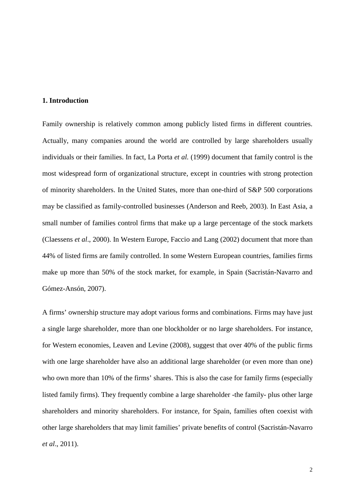#### **1. Introduction**

Family ownership is relatively common among publicly listed firms in different countries. Actually, many companies around the world are controlled by large shareholders usually individuals or their families. In fact, La Porta *et al.* (1999) document that family control is the most widespread form of organizational structure, except in countries with strong protection of minority shareholders. In the United States, more than one-third of S&P 500 corporations may be classified as family-controlled businesses (Anderson and Reeb, 2003). In East Asia, a small number of families control firms that make up a large percentage of the stock markets (Claessens *et al*., 2000). In Western Europe, Faccio and Lang (2002) document that more than 44% of listed firms are family controlled. In some Western European countries, families firms make up more than 50% of the stock market, for example, in Spain (Sacristán-Navarro and Gómez-Ansón, 2007).

A firms' ownership structure may adopt various forms and combinations. Firms may have just a single large shareholder, more than one blockholder or no large shareholders. For instance, for Western economies, Leaven and Levine (2008), suggest that over 40% of the public firms with one large shareholder have also an additional large shareholder (or even more than one) who own more than 10% of the firms' shares. This is also the case for family firms (especially listed family firms). They frequently combine a large shareholder -the family- plus other large shareholders and minority shareholders. For instance, for Spain, families often coexist with other large shareholders that may limit families' private benefits of control (Sacristán-Navarro *et al*., 2011).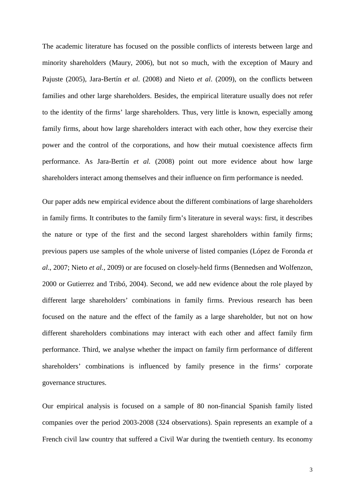The academic literature has focused on the possible conflicts of interests between large and minority shareholders (Maury, 2006), but not so much, with the exception of Maury and Pajuste (2005), Jara-Bertín *et al*. (2008) and Nieto *et al*. (2009), on the conflicts between families and other large shareholders. Besides, the empirical literature usually does not refer to the identity of the firms' large shareholders. Thus, very little is known, especially among family firms, about how large shareholders interact with each other, how they exercise their power and the control of the corporations, and how their mutual coexistence affects firm performance. As Jara-Bertín *et al.* (2008) point out more evidence about how large shareholders interact among themselves and their influence on firm performance is needed.

Our paper adds new empirical evidence about the different combinations of large shareholders in family firms. It contributes to the family firm's literature in several ways: first, it describes the nature or type of the first and the second largest shareholders within family firms; previous papers use samples of the whole universe of listed companies (López de Foronda *et al*., 2007; Nieto *et al.*, 2009) or are focused on closely-held firms (Bennedsen and Wolfenzon, 2000 or Gutierrez and Tribó, 2004). Second, we add new evidence about the role played by different large shareholders' combinations in family firms. Previous research has been focused on the nature and the effect of the family as a large shareholder, but not on how different shareholders combinations may interact with each other and affect family firm performance. Third, we analyse whether the impact on family firm performance of different shareholders' combinations is influenced by family presence in the firms' corporate governance structures.

Our empirical analysis is focused on a sample of 80 non-financial Spanish family listed companies over the period 2003-2008 (324 observations). Spain represents an example of a French civil law country that suffered a Civil War during the twentieth century. Its economy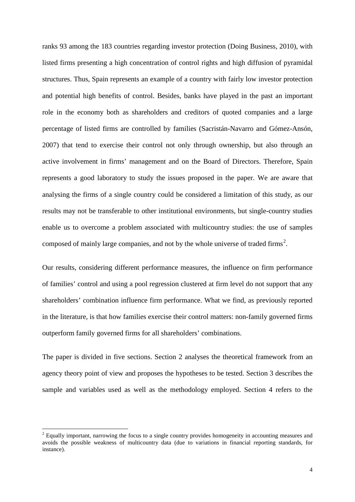ranks 93 among the 183 countries regarding investor protection (Doing Business, 2010), with listed firms presenting a high concentration of control rights and high diffusion of pyramidal structures. Thus, Spain represents an example of a country with fairly low investor protection and potential high benefits of control. Besides, banks have played in the past an important role in the economy both as shareholders and creditors of quoted companies and a large percentage of listed firms are controlled by families (Sacristán-Navarro and Gómez-Ansón, 2007) that tend to exercise their control not only through ownership, but also through an active involvement in firms' management and on the Board of Directors. Therefore, Spain represents a good laboratory to study the issues proposed in the paper. We are aware that analysing the firms of a single country could be considered a limitation of this study, as our results may not be transferable to other institutional environments, but single-country studies enable us to overcome a problem associated with multicountry studies: the use of samples composed of mainly large companies, and not by the whole universe of traded firms<sup>[2](#page-3-0)</sup>.

Our results, considering different performance measures, the influence on firm performance of families' control and using a pool regression clustered at firm level do not support that any shareholders' combination influence firm performance. What we find, as previously reported in the literature, is that how families exercise their control matters: non-family governed firms outperform family governed firms for all shareholders' combinations.

The paper is divided in five sections. Section 2 analyses the theoretical framework from an agency theory point of view and proposes the hypotheses to be tested. Section 3 describes the sample and variables used as well as the methodology employed. Section 4 refers to the

<span id="page-3-0"></span><sup>&</sup>lt;sup>2</sup> Equally important, narrowing the focus to a single country provides homogeneity in accounting measures and avoids the possible weakness of multicountry data (due to variations in financial reporting standards, for instance).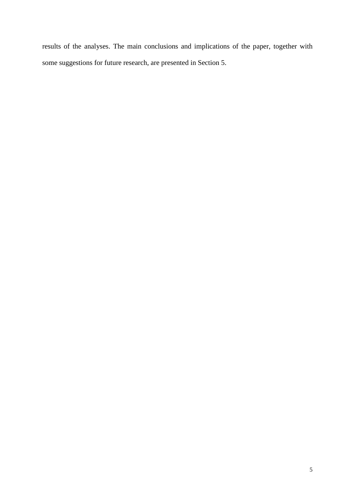results of the analyses. The main conclusions and implications of the paper, together with some suggestions for future research, are presented in Section 5.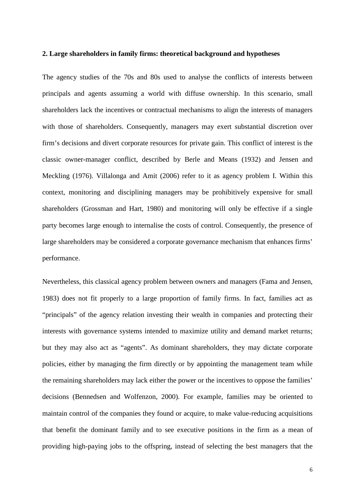#### **2. Large shareholders in family firms: theoretical background and hypotheses**

The agency studies of the 70s and 80s used to analyse the conflicts of interests between principals and agents assuming a world with diffuse ownership. In this scenario, small shareholders lack the incentives or contractual mechanisms to align the interests of managers with those of shareholders. Consequently, managers may exert substantial discretion over firm's decisions and divert corporate resources for private gain. This conflict of interest is the classic owner-manager conflict, described by Berle and Means (1932) and Jensen and Meckling (1976). Villalonga and Amit (2006) refer to it as agency problem I. Within this context, monitoring and disciplining managers may be prohibitively expensive for small shareholders (Grossman and Hart, 1980) and monitoring will only be effective if a single party becomes large enough to internalise the costs of control. Consequently, the presence of large shareholders may be considered a corporate governance mechanism that enhances firms' performance.

Nevertheless, this classical agency problem between owners and managers (Fama and Jensen, 1983) does not fit properly to a large proportion of family firms. In fact, families act as "principals" of the agency relation investing their wealth in companies and protecting their interests with governance systems intended to maximize utility and demand market returns; but they may also act as "agents". As dominant shareholders, they may dictate corporate policies, either by managing the firm directly or by appointing the management team while the remaining shareholders may lack either the power or the incentives to oppose the families' decisions (Bennedsen and Wolfenzon, 2000). For example, families may be oriented to maintain control of the companies they found or acquire, to make value-reducing acquisitions that benefit the dominant family and to see executive positions in the firm as a mean of providing high-paying jobs to the offspring, instead of selecting the best managers that the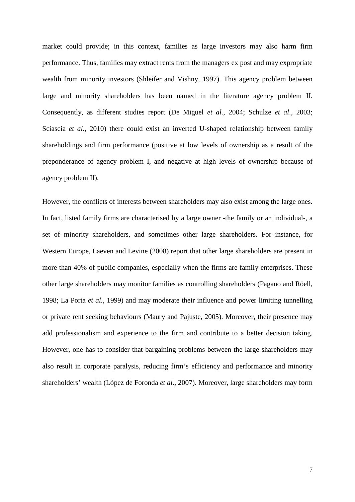market could provide; in this context, families as large investors may also harm firm performance. Thus, families may extract rents from the managers ex post and may expropriate wealth from minority investors (Shleifer and Vishny, 1997). This agency problem between large and minority shareholders has been named in the literature agency problem II. Consequently, as different studies report (De Miguel *et al.*, 2004; Schulze *et al*., 2003; Sciascia *et al*., 2010) there could exist an inverted U-shaped relationship between family shareholdings and firm performance (positive at low levels of ownership as a result of the preponderance of agency problem I, and negative at high levels of ownership because of agency problem II).

However, the conflicts of interests between shareholders may also exist among the large ones. In fact, listed family firms are characterised by a large owner -the family or an individual-, a set of minority shareholders, and sometimes other large shareholders. For instance, for Western Europe, Laeven and Levine (2008) report that other large shareholders are present in more than 40% of public companies, especially when the firms are family enterprises. These other large shareholders may monitor families as controlling shareholders (Pagano and Röell, 1998; La Porta *et al.*, 1999) and may moderate their influence and power limiting tunnelling or private rent seeking behaviours (Maury and Pajuste, 2005). Moreover, their presence may add professionalism and experience to the firm and contribute to a better decision taking. However, one has to consider that bargaining problems between the large shareholders may also result in corporate paralysis, reducing firm's efficiency and performance and minority shareholders' wealth (López de Foronda *et al.*, 2007). Moreover, large shareholders may form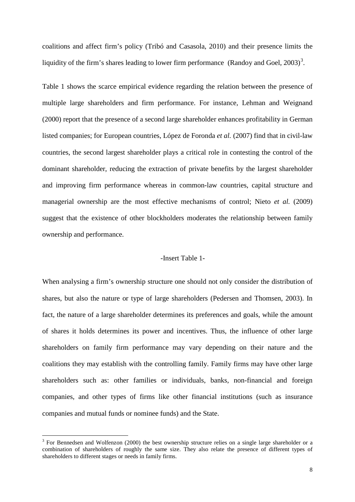coalitions and affect firm's policy (Tribó and Casasola, 2010) and their presence limits the liquidity of the firm's shares leading to lower firm performance (Randoy and Goel,  $2003$  $2003$ )<sup>3</sup>.

Table 1 shows the scarce empirical evidence regarding the relation between the presence of multiple large shareholders and firm performance. For instance, Lehman and Weignand (2000) report that the presence of a second large shareholder enhances profitability in German listed companies; for European countries, López de Foronda *et al.* (2007) find that in civil-law countries, the second largest shareholder plays a critical role in contesting the control of the dominant shareholder, reducing the extraction of private benefits by the largest shareholder and improving firm performance whereas in common-law countries, capital structure and managerial ownership are the most effective mechanisms of control; Nieto *et al.* (2009) suggest that the existence of other blockholders moderates the relationship between family ownership and performance.

### -Insert Table 1-

When analysing a firm's ownership structure one should not only consider the distribution of shares, but also the nature or type of large shareholders (Pedersen and Thomsen, 2003). In fact, the nature of a large shareholder determines its preferences and goals, while the amount of shares it holds determines its power and incentives. Thus, the influence of other large shareholders on family firm performance may vary depending on their nature and the coalitions they may establish with the controlling family. Family firms may have other large shareholders such as: other families or individuals, banks, non-financial and foreign companies, and other types of firms like other financial institutions (such as insurance companies and mutual funds or nominee funds) and the State.

<span id="page-7-0"></span><sup>&</sup>lt;sup>3</sup> For Bennedsen and Wolfenzon (2000) the best ownership structure relies on a single large shareholder or a combination of shareholders of roughly the same size. They also relate the presence of different types of shareholders to different stages or needs in family firms.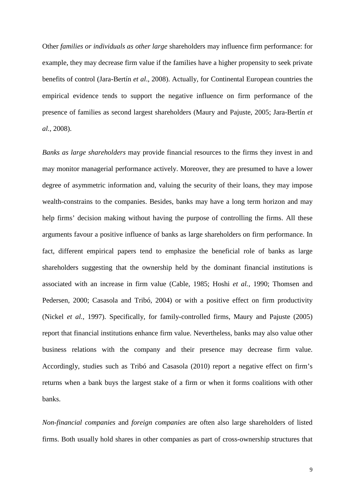Other *families or individuals as other large* shareholders may influence firm performance: for example, they may decrease firm value if the families have a higher propensity to seek private benefits of control (Jara-Bertín *et al*., 2008). Actually, for Continental European countries the empirical evidence tends to support the negative influence on firm performance of the presence of families as second largest shareholders (Maury and Pajuste, 2005; Jara-Bertín *et al.,* 2008).

*Banks as large shareholders* may provide financial resources to the firms they invest in and may monitor managerial performance actively. Moreover, they are presumed to have a lower degree of asymmetric information and, valuing the security of their loans, they may impose wealth-constrains to the companies. Besides, banks may have a long term horizon and may help firms' decision making without having the purpose of controlling the firms. All these arguments favour a positive influence of banks as large shareholders on firm performance. In fact, different empirical papers tend to emphasize the beneficial role of banks as large shareholders suggesting that the ownership held by the dominant financial institutions is associated with an increase in firm value (Cable, 1985; Hoshi *et al.,* 1990; Thomsen and Pedersen, 2000; Casasola and Tribó, 2004) or with a positive effect on firm productivity (Nickel *et al.*, 1997). Specifically, for family-controlled firms, Maury and Pajuste (2005) report that financial institutions enhance firm value. Nevertheless, banks may also value other business relations with the company and their presence may decrease firm value. Accordingly, studies such as Tribó and Casasola (2010) report a negative effect on firm's returns when a bank buys the largest stake of a firm or when it forms coalitions with other banks.

*Non-financial companies* and *foreign companies* are often also large shareholders of listed firms. Both usually hold shares in other companies as part of cross-ownership structures that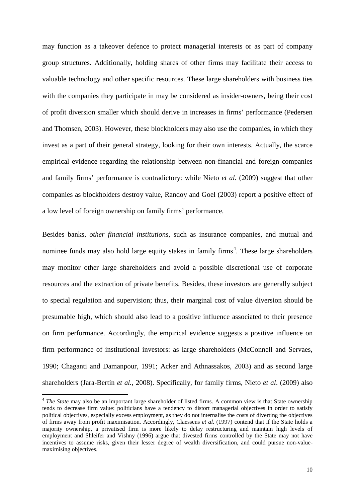may function as a takeover defence to protect managerial interests or as part of company group structures. Additionally, holding shares of other firms may facilitate their access to valuable technology and other specific resources. These large shareholders with business ties with the companies they participate in may be considered as insider-owners, being their cost of profit diversion smaller which should derive in increases in firms' performance (Pedersen and Thomsen, 2003). However, these blockholders may also use the companies, in which they invest as a part of their general strategy, looking for their own interests. Actually, the scarce empirical evidence regarding the relationship between non-financial and foreign companies and family firms' performance is contradictory: while Nieto *et al.* (2009) suggest that other companies as blockholders destroy value, Randoy and Goel (2003) report a positive effect of a low level of foreign ownership on family firms' performance.

Besides banks, *other financial institutions*, such as insurance companies, and mutual and nominee funds may also hold large equity stakes in family firms<sup>[4](#page-9-0)</sup>. These large shareholders may monitor other large shareholders and avoid a possible discretional use of corporate resources and the extraction of private benefits. Besides, these investors are generally subject to special regulation and supervision; thus, their marginal cost of value diversion should be presumable high, which should also lead to a positive influence associated to their presence on firm performance. Accordingly, the empirical evidence suggests a positive influence on firm performance of institutional investors: as large shareholders (McConnell and Servaes, 1990; Chaganti and Damanpour, 1991; Acker and Athnassakos, 2003) and as second large shareholders (Jara-Bertín *et al.,* 2008). Specifically, for family firms, Nieto *et al*. (2009) also

<span id="page-9-0"></span><sup>&</sup>lt;sup>4</sup> *The State* may also be an important large shareholder of listed firms. A common view is that State ownership tends to decrease firm value: politicians have a tendency to distort managerial objectives in order to satisfy political objectives, especially excess employment, as they do not internalise the costs of diverting the objectives of firms away from profit maximisation. Accordingly, Claessens *et al.* (1997) contend that if the State holds a majority ownership, a privatised firm is more likely to delay restructuring and maintain high levels of employment and Shleifer and Vishny (1996) argue that divested firms controlled by the State may not have incentives to assume risks, given their lesser degree of wealth diversification, and could pursue non-valuemaximising objectives.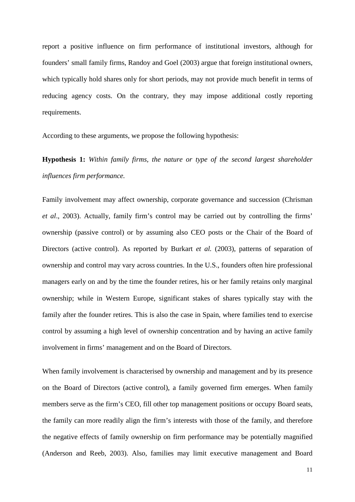report a positive influence on firm performance of institutional investors, although for founders' small family firms, Randoy and Goel (2003) argue that foreign institutional owners, which typically hold shares only for short periods, may not provide much benefit in terms of reducing agency costs. On the contrary, they may impose additional costly reporting requirements.

According to these arguments, we propose the following hypothesis:

**Hypothesis 1:** *Within family firms, the nature or type of the second largest shareholder influences firm performance.* 

Family involvement may affect ownership, corporate governance and succession (Chrisman *et al*., 2003). Actually, family firm's control may be carried out by controlling the firms' ownership (passive control) or by assuming also CEO posts or the Chair of the Board of Directors (active control). As reported by Burkart *et al.* (2003), patterns of separation of ownership and control may vary across countries. In the U.S., founders often hire professional managers early on and by the time the founder retires, his or her family retains only marginal ownership; while in Western Europe, significant stakes of shares typically stay with the family after the founder retires. This is also the case in Spain, where families tend to exercise control by assuming a high level of ownership concentration and by having an active family involvement in firms' management and on the Board of Directors.

When family involvement is characterised by ownership and management and by its presence on the Board of Directors (active control), a family governed firm emerges. When family members serve as the firm's CEO, fill other top management positions or occupy Board seats, the family can more readily align the firm's interests with those of the family, and therefore the negative effects of family ownership on firm performance may be potentially magnified (Anderson and Reeb, 2003). Also, families may limit executive management and Board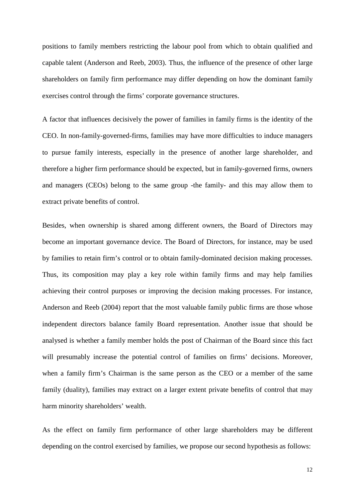positions to family members restricting the labour pool from which to obtain qualified and capable talent (Anderson and Reeb, 2003). Thus, the influence of the presence of other large shareholders on family firm performance may differ depending on how the dominant family exercises control through the firms' corporate governance structures.

A factor that influences decisively the power of families in family firms is the identity of the CEO. In non-family-governed-firms, families may have more difficulties to induce managers to pursue family interests, especially in the presence of another large shareholder, and therefore a higher firm performance should be expected, but in family-governed firms, owners and managers (CEOs) belong to the same group -the family- and this may allow them to extract private benefits of control.

Besides, when ownership is shared among different owners, the Board of Directors may become an important governance device. The Board of Directors, for instance, may be used by families to retain firm's control or to obtain family-dominated decision making processes. Thus, its composition may play a key role within family firms and may help families achieving their control purposes or improving the decision making processes. For instance, Anderson and Reeb (2004) report that the most valuable family public firms are those whose independent directors balance family Board representation. Another issue that should be analysed is whether a family member holds the post of Chairman of the Board since this fact will presumably increase the potential control of families on firms' decisions. Moreover, when a family firm's Chairman is the same person as the CEO or a member of the same family (duality), families may extract on a larger extent private benefits of control that may harm minority shareholders' wealth.

As the effect on family firm performance of other large shareholders may be different depending on the control exercised by families, we propose our second hypothesis as follows:

12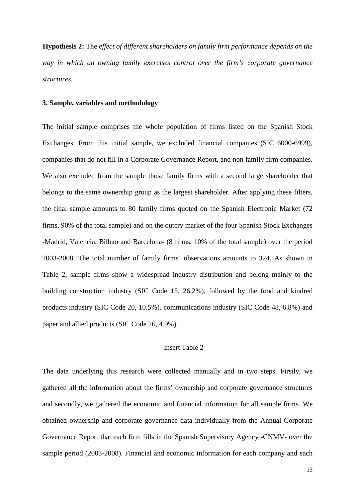**Hypothesis 2:** The *effect of different shareholders on family firm performance depends on the way in which an owning family exercises control over the firm's corporate governance structures.*

#### **3. Sample, variables and methodology**

The initial sample comprises the whole population of firms listed on the Spanish Stock Exchanges. From this initial sample, we excluded financial companies (SIC 6000-6999), companies that do not fill in a Corporate Governance Report, and non family firm companies. We also excluded from the sample those family firms with a second large shareholder that belongs to the same ownership group as the largest shareholder. After applying these filters, the final sample amounts to 80 family firms quoted on the Spanish Electronic Market (72 firms, 90% of the total sample) and on the outcry market of the four Spanish Stock Exchanges -Madrid, Valencia, Bilbao and Barcelona- (8 firms, 10% of the total sample) over the period 2003-2008. The total number of family firms' observations amounts to 324. As shown in Table 2, sample firms show a widespread industry distribution and belong mainly to the building construction industry (SIC Code 15, 26.2%), followed by the food and kindred products industry (SIC Code 20, 10.5%), communications industry (SIC Code 48, 6.8%) and paper and allied products (SIC Code 26, 4.9%).

#### -Insert Table 2-

The data underlying this research were collected manually and in two steps. Firstly, we gathered all the information about the firms' ownership and corporate governance structures and secondly, we gathered the economic and financial information for all sample firms. We obtained ownership and corporate governance data individually from the Annual Corporate Governance Report that each firm fills in the Spanish Supervisory Agency -CNMV- over the sample period (2003-2008). Financial and economic information for each company and each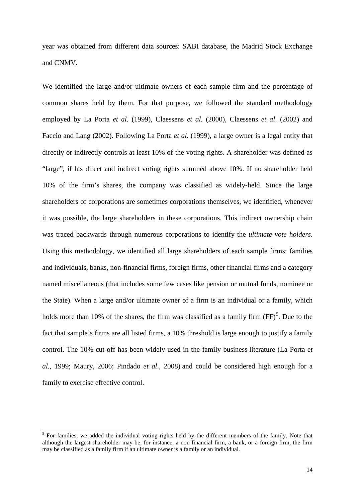year was obtained from different data sources: SABI database, the Madrid Stock Exchange and CNMV.

We identified the large and/or ultimate owners of each sample firm and the percentage of common shares held by them. For that purpose, we followed the standard methodology employed by La Porta *et al.* (1999), Claessens *et al.* (2000), Claessens *et al*. (2002) and Faccio and Lang (2002). Following La Porta *et al.* (1999), a large owner is a legal entity that directly or indirectly controls at least 10% of the voting rights. A shareholder was defined as "large", if his direct and indirect voting rights summed above 10%. If no shareholder held 10% of the firm's shares, the company was classified as widely-held. Since the large shareholders of corporations are sometimes corporations themselves, we identified, whenever it was possible, the large shareholders in these corporations. This indirect ownership chain was traced backwards through numerous corporations to identify the *ultimate vote holders*. Using this methodology, we identified all large shareholders of each sample firms: families and individuals, banks, non-financial firms, foreign firms, other financial firms and a category named miscellaneous (that includes some few cases like pension or mutual funds, nominee or the State). When a large and/or ultimate owner of a firm is an individual or a family, which holds more than 10% of the shares, the firm was classified as a family firm  $(FF)^5$  $(FF)^5$ . Due to the fact that sample's firms are all listed firms, a 10% threshold is large enough to justify a family control. The 10% cut-off has been widely used in the family business literature (La Porta e*t al.*, 1999; Maury, 2006; Pindado *et al*., 2008) and could be considered high enough for a family to exercise effective control.

<span id="page-13-0"></span> $<sup>5</sup>$  For families, we added the individual voting rights held by the different members of the family. Note that</sup> although the largest shareholder may be, for instance, a non financial firm, a bank, or a foreign firm, the firm may be classified as a family firm if an ultimate owner is a family or an individual.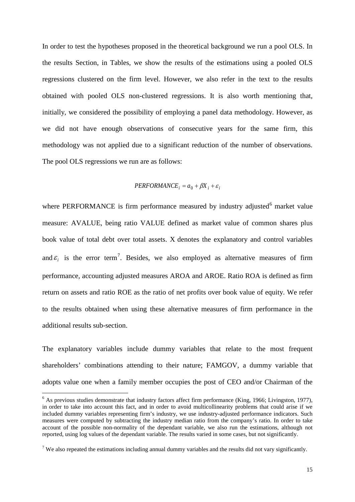In order to test the hypotheses proposed in the theoretical background we run a pool OLS. In the results Section, in Tables, we show the results of the estimations using a pooled OLS regressions clustered on the firm level. However, we also refer in the text to the results obtained with pooled OLS non-clustered regressions. It is also worth mentioning that, initially, we considered the possibility of employing a panel data methodology. However, as we did not have enough observations of consecutive years for the same firm, this methodology was not applied due to a significant reduction of the number of observations. The pool OLS regressions we run are as follows:

#### $PERFORMANCE_i = a_0 + \beta X_i + \varepsilon_i$

where PERFORMANCE is firm performance measured by industry adjusted $6$  market value measure: AVALUE, being ratio VALUE defined as market value of common shares plus book value of total debt over total assets. X denotes the explanatory and control variables and  $\varepsilon$ <sub>i</sub> is the error term<sup>[7](#page-14-1)</sup>. Besides, we also employed as alternative measures of firm performance, accounting adjusted measures AROA and AROE. Ratio ROA is defined as firm return on assets and ratio ROE as the ratio of net profits over book value of equity. We refer to the results obtained when using these alternative measures of firm performance in the additional results sub-section.

The explanatory variables include dummy variables that relate to the most frequent shareholders' combinations attending to their nature; FAMGOV, a dummy variable that adopts value one when a family member occupies the post of CEO and/or Chairman of the

<span id="page-14-0"></span> $6$  As previous studies demonstrate that industry factors affect firm performance (King, 1966; Livingston, 1977), in order to take into account this fact, and in order to avoid multicollinearity problems that could arise if we included dummy variables representing firm's industry, we use industry-adjusted performance indicators. Such measures were computed by subtracting the industry median ratio from the company's ratio. In order to take account of the possible non-normality of the dependant variable, we also run the estimations, although not reported, using log values of the dependant variable. The results varied in some cases, but not significantly.

<span id="page-14-1"></span><sup>&</sup>lt;sup>7</sup> We also repeated the estimations including annual dummy variables and the results did not vary significantly.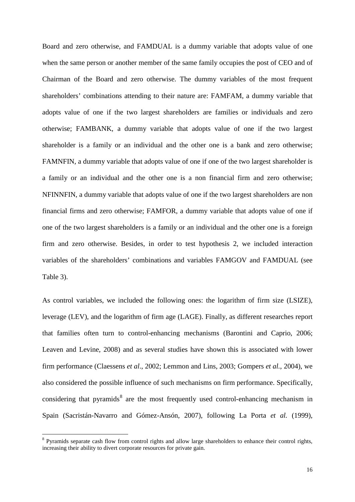Board and zero otherwise, and FAMDUAL is a dummy variable that adopts value of one when the same person or another member of the same family occupies the post of CEO and of Chairman of the Board and zero otherwise. The dummy variables of the most frequent shareholders' combinations attending to their nature are: FAMFAM, a dummy variable that adopts value of one if the two largest shareholders are families or individuals and zero otherwise; FAMBANK, a dummy variable that adopts value of one if the two largest shareholder is a family or an individual and the other one is a bank and zero otherwise; FAMNFIN, a dummy variable that adopts value of one if one of the two largest shareholder is a family or an individual and the other one is a non financial firm and zero otherwise; NFINNFIN, a dummy variable that adopts value of one if the two largest shareholders are non financial firms and zero otherwise; FAMFOR, a dummy variable that adopts value of one if one of the two largest shareholders is a family or an individual and the other one is a foreign firm and zero otherwise. Besides, in order to test hypothesis 2, we included interaction variables of the shareholders' combinations and variables FAMGOV and FAMDUAL (see Table 3).

As control variables, we included the following ones: the logarithm of firm size (LSIZE), leverage (LEV), and the logarithm of firm age (LAGE). Finally, as different researches report that families often turn to control-enhancing mechanisms (Barontini and Caprio, 2006; Leaven and Levine, 2008) and as several studies have shown this is associated with lower firm performance (Claessens *et al*., 2002; Lemmon and Lins, 2003; Gompers *et al.*, 2004), we also considered the possible influence of such mechanisms on firm performance. Specifically, considering that pyramids<sup>[8](#page-15-0)</sup> are the most frequently used control-enhancing mechanism in Spain (Sacristán-Navarro and Gómez-Ansón, 2007), following La Porta *et al.* (1999),

<span id="page-15-0"></span><sup>&</sup>lt;sup>8</sup> Pyramids separate cash flow from control rights and allow large shareholders to enhance their control rights, increasing their ability to divert corporate resources for private gain.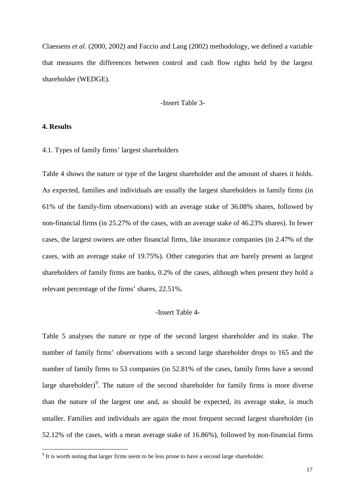Claessens *et al*. (2000, 2002) and Faccio and Lang (2002) methodology, we defined a variable that measures the differences between control and cash flow rights held by the largest shareholder (WEDGE).

-Insert Table 3-

#### **4. Results**

#### 4.1. Types of family firms' largest shareholders

Table 4 shows the nature or type of the largest shareholder and the amount of shares it holds. As expected, families and individuals are usually the largest shareholders in family firms (in 61% of the family-firm observations) with an average stake of 36.08% shares, followed by non-financial firms (in 25.27% of the cases, with an average stake of 46.23% shares). In fewer cases, the largest owners are other financial firms, like insurance companies (in 2.47% of the cases, with an average stake of 19.75%). Other categories that are barely present as largest shareholders of family firms are banks, 0.2% of the cases, although when present they hold a relevant percentage of the firms' shares, 22.51%.

#### -Insert Table 4-

Table 5 analyses the nature or type of the second largest shareholder and its stake. The number of family firms' observations with a second large shareholder drops to 165 and the number of family firms to 53 companies (in 52.81% of the cases, family firms have a second large shareholder)<sup>[9](#page-16-0)</sup>. The nature of the second shareholder for family firms is more diverse than the nature of the largest one and, as should be expected, its average stake, is much smaller. Families and individuals are again the most frequent second largest shareholder (in 52.12% of the cases, with a mean average stake of 16.86%), followed by non-financial firms

<span id="page-16-0"></span><sup>&</sup>lt;sup>9</sup> It is worth noting that larger firms seem to be less prone to have a second large shareholder.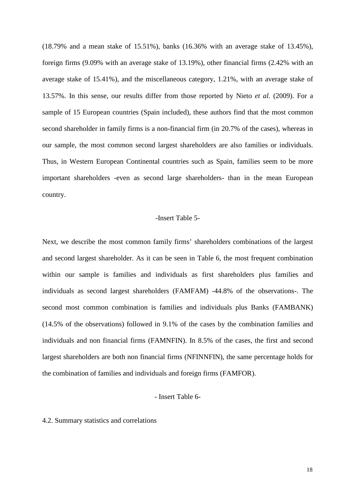(18.79% and a mean stake of 15.51%), banks (16.36% with an average stake of 13.45%), foreign firms (9.09% with an average stake of 13.19%), other financial firms (2.42% with an average stake of 15.41%), and the miscellaneous category, 1.21%, with an average stake of 13.57%. In this sense, our results differ from those reported by Nieto *et al.* (2009). For a sample of 15 European countries (Spain included), these authors find that the most common second shareholder in family firms is a non-financial firm (in 20.7% of the cases), whereas in our sample, the most common second largest shareholders are also families or individuals. Thus, in Western European Continental countries such as Spain, families seem to be more important shareholders -even as second large shareholders- than in the mean European country.

#### -Insert Table 5-

Next, we describe the most common family firms' shareholders combinations of the largest and second largest shareholder. As it can be seen in Table 6, the most frequent combination within our sample is families and individuals as first shareholders plus families and individuals as second largest shareholders (FAMFAM) -44.8% of the observations-. The second most common combination is families and individuals plus Banks (FAMBANK) (14.5% of the observations) followed in 9.1% of the cases by the combination families and individuals and non financial firms (FAMNFIN). In 8.5% of the cases, the first and second largest shareholders are both non financial firms (NFINNFIN), the same percentage holds for the combination of families and individuals and foreign firms (FAMFOR).

#### - Insert Table 6-

#### 4.2. Summary statistics and correlations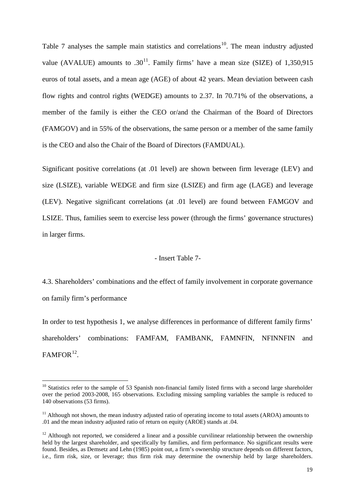Table 7 analyses the sample main statistics and correlations<sup>[10](#page-18-0)</sup>. The mean industry adjusted value (AVALUE) amounts to  $.30^{11}$ . Family firms' have a mean size (SIZE) of 1,350,915 euros of total assets, and a mean age (AGE) of about 42 years. Mean deviation between cash flow rights and control rights (WEDGE) amounts to 2.37. In 70.71% of the observations, a member of the family is either the CEO or/and the Chairman of the Board of Directors (FAMGOV) and in 55% of the observations, the same person or a member of the same family is the CEO and also the Chair of the Board of Directors (FAMDUAL).

Significant positive correlations (at .01 level) are shown between firm leverage (LEV) and size (LSIZE), variable WEDGE and firm size (LSIZE) and firm age (LAGE) and leverage (LEV). Negative significant correlations (at .01 level) are found between FAMGOV and LSIZE. Thus, families seem to exercise less power (through the firms' governance structures) in larger firms.

## - Insert Table 7-

4.3. Shareholders' combinations and the effect of family involvement in corporate governance on family firm's performance

In order to test hypothesis 1, we analyse differences in performance of different family firms' shareholders' combinations: FAMFAM, FAMBANK, FAMNFIN, NFINNFIN and  $FAMFOR$ <sup>[12](#page-18-2)</sup>.

<span id="page-18-0"></span> $10$  Statistics refer to the sample of 53 Spanish non-financial family listed firms with a second large shareholder over the period 2003-2008, 165 observations. Excluding missing sampling variables the sample is reduced to 140 observations (53 firms).

<span id="page-18-1"></span><sup>&</sup>lt;sup>11</sup> Although not shown, the mean industry adjusted ratio of operating income to total assets (AROA) amounts to .01 and the mean industry adjusted ratio of return on equity (AROE) stands at .04.

<span id="page-18-2"></span> $12$  Although not reported, we considered a linear and a possible curvilinear relationship between the ownership held by the largest shareholder, and specifically by families, and firm performance. No significant results were found. Besides, as Demsetz and Lehn (1985) point out, a firm's ownership structure depends on different factors, i.e., firm risk, size, or leverage; thus firm risk may determine the ownership held by large shareholders.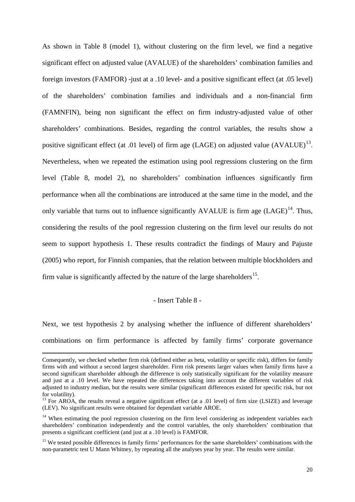As shown in Table 8 (model 1), without clustering on the firm level, we find a negative significant effect on adjusted value (AVALUE) of the shareholders' combination families and foreign investors (FAMFOR) -just at a .10 level- and a positive significant effect (at .05 level) of the shareholders' combination families and individuals and a non-financial firm (FAMNFIN), being non significant the effect on firm industry-adjusted value of other shareholders' combinations. Besides, regarding the control variables, the results show a positive significant effect (at .01 level) of firm age (LAGE) on adjusted value  $(AVALUE)^{13}$ . Nevertheless, when we repeated the estimation using pool regressions clustering on the firm level (Table 8, model 2), no shareholders' combination influences significantly firm performance when all the combinations are introduced at the same time in the model, and the only variable that turns out to influence significantly AVALUE is firm age  $(LAGE)^{14}$ . Thus, considering the results of the pool regression clustering on the firm level our results do not seem to support hypothesis 1. These results contradict the findings of Maury and Pajuste (2005) who report, for Finnish companies, that the relation between multiple blockholders and firm value is significantly affected by the nature of the large shareholders<sup>15</sup>.

#### - Insert Table 8 -

Next, we test hypothesis 2 by analysing whether the influence of different shareholders' combinations on firm performance is affected by family firms' corporate governance

<u>.</u>

Consequently, we checked whether firm risk (defined either as beta, volatility or specific risk), differs for family firms with and without a second largest shareholder. Firm risk presents larger values when family firms have a second significant shareholder although the difference is only statistically significant for the volatility measure and just at a .10 level. We have repeated the differences taking into account the different variables of risk adjusted to industry median, but the results were similar (significant differences existed for specific risk, but not for volatility).

<span id="page-19-0"></span><sup>&</sup>lt;sup>13</sup> For AROA, the results reveal a negative significant effect (at a .01 level) of firm size (LSIZE) and leverage (LEV). No significant results were obtained for dependant variable AROE.

<span id="page-19-1"></span><sup>&</sup>lt;sup>14</sup> When estimating the pool regression clustering on the firm level considering as independent variables each shareholders' combination independently and the control variables, the only shareholders' combination that presents a significant coefficient (and just at a .10 level) is FAMFOR.

<span id="page-19-2"></span><sup>&</sup>lt;sup>15</sup> We tested possible differences in family firms' performances for the same shareholders' combinations with the non-parametric test U Mann Whitney, by repeating all the analyses year by year. The results were similar.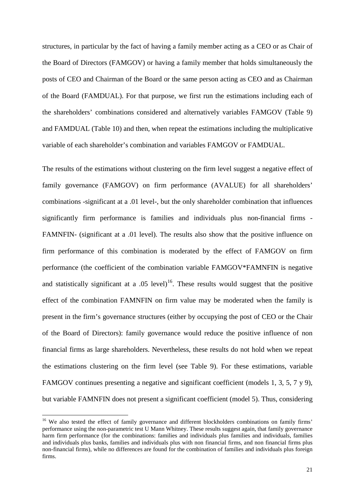structures, in particular by the fact of having a family member acting as a CEO or as Chair of the Board of Directors (FAMGOV) or having a family member that holds simultaneously the posts of CEO and Chairman of the Board or the same person acting as CEO and as Chairman of the Board (FAMDUAL). For that purpose, we first run the estimations including each of the shareholders' combinations considered and alternatively variables FAMGOV (Table 9) and FAMDUAL (Table 10) and then, when repeat the estimations including the multiplicative variable of each shareholder's combination and variables FAMGOV or FAMDUAL.

The results of the estimations without clustering on the firm level suggest a negative effect of family governance (FAMGOV) on firm performance (AVALUE) for all shareholders' combinations -significant at a .01 level-, but the only shareholder combination that influences significantly firm performance is families and individuals plus non-financial firms - FAMNFIN- (significant at a .01 level). The results also show that the positive influence on firm performance of this combination is moderated by the effect of FAMGOV on firm performance (the coefficient of the combination variable FAMGOV\*FAMNFIN is negative and statistically significant at a .05 level)<sup>[16](#page-20-0)</sup>. These results would suggest that the positive effect of the combination FAMNFIN on firm value may be moderated when the family is present in the firm's governance structures (either by occupying the post of CEO or the Chair of the Board of Directors): family governance would reduce the positive influence of non financial firms as large shareholders. Nevertheless, these results do not hold when we repeat the estimations clustering on the firm level (see Table 9). For these estimations, variable FAMGOV continues presenting a negative and significant coefficient (models 1, 3, 5, 7 y 9), but variable FAMNFIN does not present a significant coefficient (model 5). Thus, considering

<span id="page-20-0"></span><sup>&</sup>lt;sup>16</sup> We also tested the effect of family governance and different blockholders combinations on family firms' performance using the non-parametric test U Mann Whitney. These results suggest again, that family governance harm firm performance (for the combinations: families and individuals plus families and individuals, families and individuals plus banks, families and individuals plus with non financial firms, and non financial firms plus non-financial firms), while no differences are found for the combination of families and individuals plus foreign firms.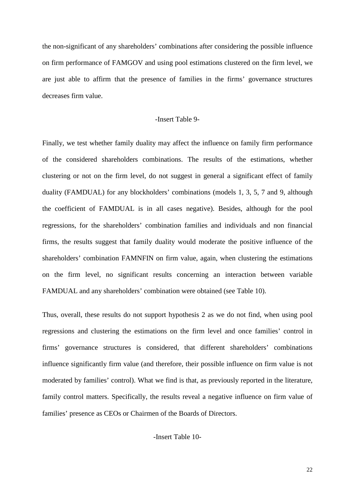the non-significant of any shareholders' combinations after considering the possible influence on firm performance of FAMGOV and using pool estimations clustered on the firm level, we are just able to affirm that the presence of families in the firms' governance structures decreases firm value.

#### -Insert Table 9-

Finally, we test whether family duality may affect the influence on family firm performance of the considered shareholders combinations. The results of the estimations, whether clustering or not on the firm level, do not suggest in general a significant effect of family duality (FAMDUAL) for any blockholders' combinations (models 1, 3, 5, 7 and 9, although the coefficient of FAMDUAL is in all cases negative). Besides, although for the pool regressions, for the shareholders' combination families and individuals and non financial firms, the results suggest that family duality would moderate the positive influence of the shareholders' combination FAMNFIN on firm value, again, when clustering the estimations on the firm level, no significant results concerning an interaction between variable FAMDUAL and any shareholders' combination were obtained (see Table 10).

Thus, overall, these results do not support hypothesis 2 as we do not find, when using pool regressions and clustering the estimations on the firm level and once families' control in firms' governance structures is considered, that different shareholders' combinations influence significantly firm value (and therefore, their possible influence on firm value is not moderated by families' control). What we find is that, as previously reported in the literature, family control matters. Specifically, the results reveal a negative influence on firm value of families' presence as CEOs or Chairmen of the Boards of Directors.

-Insert Table 10-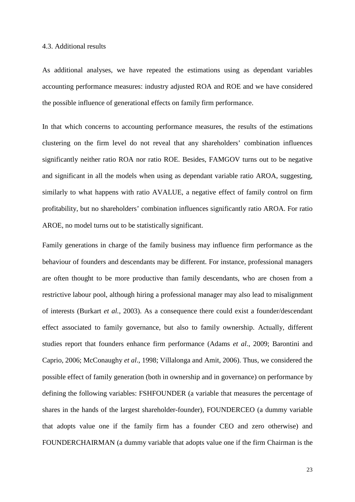#### 4.3. Additional results

As additional analyses, we have repeated the estimations using as dependant variables accounting performance measures: industry adjusted ROA and ROE and we have considered the possible influence of generational effects on family firm performance.

In that which concerns to accounting performance measures, the results of the estimations clustering on the firm level do not reveal that any shareholders' combination influences significantly neither ratio ROA nor ratio ROE. Besides, FAMGOV turns out to be negative and significant in all the models when using as dependant variable ratio AROA, suggesting, similarly to what happens with ratio AVALUE, a negative effect of family control on firm profitability, but no shareholders' combination influences significantly ratio AROA. For ratio AROE, no model turns out to be statistically significant.

Family generations in charge of the family business may influence firm performance as the behaviour of founders and descendants may be different. For instance, professional managers are often thought to be more productive than family descendants, who are chosen from a restrictive labour pool, although hiring a professional manager may also lead to misalignment of interests (Burkart *et al.*, 2003). As a consequence there could exist a founder/descendant effect associated to family governance, but also to family ownership. Actually, different studies report that founders enhance firm performance (Adams *et al*., 2009; Barontini and Caprio, 2006; McConaughy *et al*., 1998; Villalonga and Amit, 2006). Thus, we considered the possible effect of family generation (both in ownership and in governance) on performance by defining the following variables: FSHFOUNDER (a variable that measures the percentage of shares in the hands of the largest shareholder-founder), FOUNDERCEO (a dummy variable that adopts value one if the family firm has a founder CEO and zero otherwise) and FOUNDERCHAIRMAN (a dummy variable that adopts value one if the firm Chairman is the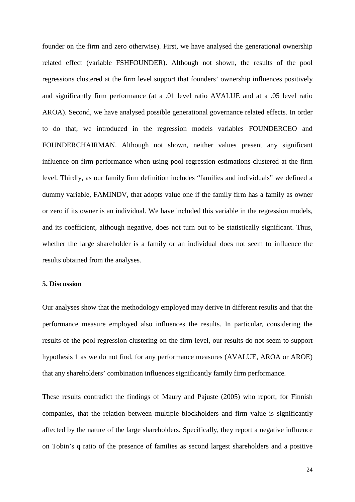founder on the firm and zero otherwise). First, we have analysed the generational ownership related effect (variable FSHFOUNDER). Although not shown, the results of the pool regressions clustered at the firm level support that founders' ownership influences positively and significantly firm performance (at a .01 level ratio AVALUE and at a .05 level ratio AROA). Second, we have analysed possible generational governance related effects. In order to do that, we introduced in the regression models variables FOUNDERCEO and FOUNDERCHAIRMAN. Although not shown, neither values present any significant influence on firm performance when using pool regression estimations clustered at the firm level. Thirdly, as our family firm definition includes "families and individuals" we defined a dummy variable, FAMINDV, that adopts value one if the family firm has a family as owner or zero if its owner is an individual. We have included this variable in the regression models, and its coefficient, although negative, does not turn out to be statistically significant. Thus, whether the large shareholder is a family or an individual does not seem to influence the results obtained from the analyses.

### **5. Discussion**

Our analyses show that the methodology employed may derive in different results and that the performance measure employed also influences the results. In particular, considering the results of the pool regression clustering on the firm level, our results do not seem to support hypothesis 1 as we do not find, for any performance measures (AVALUE, AROA or AROE) that any shareholders' combination influences significantly family firm performance.

These results contradict the findings of Maury and Pajuste (2005) who report, for Finnish companies, that the relation between multiple blockholders and firm value is significantly affected by the nature of the large shareholders. Specifically, they report a negative influence on Tobin's q ratio of the presence of families as second largest shareholders and a positive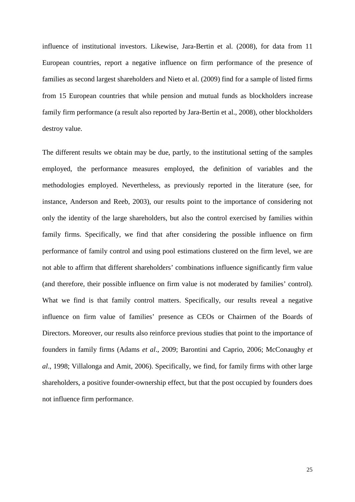influence of institutional investors. Likewise, Jara-Bertin et al. (2008), for data from 11 European countries, report a negative influence on firm performance of the presence of families as second largest shareholders and Nieto et al. (2009) find for a sample of listed firms from 15 European countries that while pension and mutual funds as blockholders increase family firm performance (a result also reported by Jara-Bertin et al., 2008), other blockholders destroy value.

The different results we obtain may be due, partly, to the institutional setting of the samples employed, the performance measures employed, the definition of variables and the methodologies employed. Nevertheless, as previously reported in the literature (see, for instance, Anderson and Reeb, 2003), our results point to the importance of considering not only the identity of the large shareholders, but also the control exercised by families within family firms. Specifically, we find that after considering the possible influence on firm performance of family control and using pool estimations clustered on the firm level, we are not able to affirm that different shareholders' combinations influence significantly firm value (and therefore, their possible influence on firm value is not moderated by families' control). What we find is that family control matters. Specifically, our results reveal a negative influence on firm value of families' presence as CEOs or Chairmen of the Boards of Directors. Moreover, our results also reinforce previous studies that point to the importance of founders in family firms (Adams *et al*., 2009; Barontini and Caprio, 2006; McConaughy *et al*., 1998; Villalonga and Amit, 2006). Specifically, we find, for family firms with other large shareholders, a positive founder-ownership effect, but that the post occupied by founders does not influence firm performance.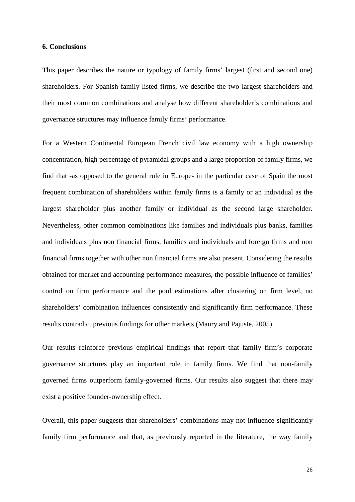#### **6. Conclusions**

This paper describes the nature or typology of family firms' largest (first and second one) shareholders. For Spanish family listed firms, we describe the two largest shareholders and their most common combinations and analyse how different shareholder's combinations and governance structures may influence family firms' performance.

For a Western Continental European French civil law economy with a high ownership concentration, high percentage of pyramidal groups and a large proportion of family firms, we find that -as opposed to the general rule in Europe- in the particular case of Spain the most frequent combination of shareholders within family firms is a family or an individual as the largest shareholder plus another family or individual as the second large shareholder. Nevertheless, other common combinations like families and individuals plus banks, families and individuals plus non financial firms, families and individuals and foreign firms and non financial firms together with other non financial firms are also present. Considering the results obtained for market and accounting performance measures, the possible influence of families' control on firm performance and the pool estimations after clustering on firm level, no shareholders' combination influences consistently and significantly firm performance. These results contradict previous findings for other markets (Maury and Pajuste, 2005).

Our results reinforce previous empirical findings that report that family firm's corporate governance structures play an important role in family firms. We find that non-family governed firms outperform family-governed firms. Our results also suggest that there may exist a positive founder-ownership effect.

Overall, this paper suggests that shareholders' combinations may not influence significantly family firm performance and that, as previously reported in the literature, the way family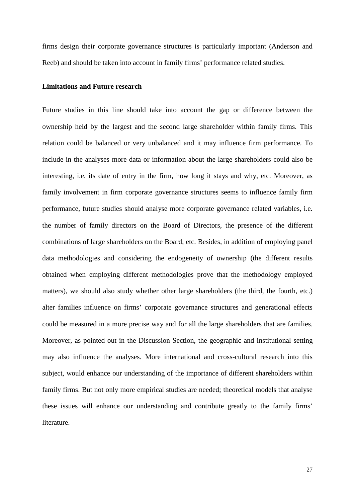firms design their corporate governance structures is particularly important (Anderson and Reeb) and should be taken into account in family firms' performance related studies.

#### **Limitations and Future research**

Future studies in this line should take into account the gap or difference between the ownership held by the largest and the second large shareholder within family firms. This relation could be balanced or very unbalanced and it may influence firm performance. To include in the analyses more data or information about the large shareholders could also be interesting, i.e. its date of entry in the firm, how long it stays and why, etc. Moreover, as family involvement in firm corporate governance structures seems to influence family firm performance, future studies should analyse more corporate governance related variables, i.e. the number of family directors on the Board of Directors, the presence of the different combinations of large shareholders on the Board, etc. Besides, in addition of employing panel data methodologies and considering the endogeneity of ownership (the different results obtained when employing different methodologies prove that the methodology employed matters), we should also study whether other large shareholders (the third, the fourth, etc.) alter families influence on firms' corporate governance structures and generational effects could be measured in a more precise way and for all the large shareholders that are families. Moreover, as pointed out in the Discussion Section, the geographic and institutional setting may also influence the analyses. More international and cross-cultural research into this subject, would enhance our understanding of the importance of different shareholders within family firms. But not only more empirical studies are needed; theoretical models that analyse these issues will enhance our understanding and contribute greatly to the family firms' literature.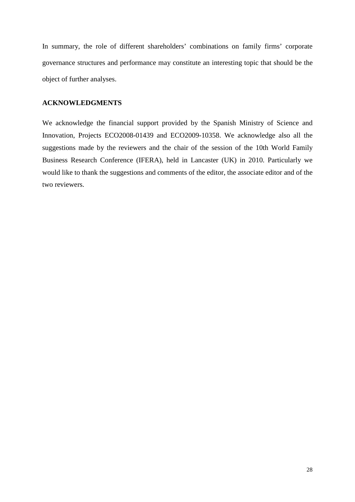In summary, the role of different shareholders' combinations on family firms' corporate governance structures and performance may constitute an interesting topic that should be the object of further analyses.

# **ACKNOWLEDGMENTS**

We acknowledge the financial support provided by the Spanish Ministry of Science and Innovation, Projects ECO2008-01439 and ECO2009-10358. We acknowledge also all the suggestions made by the reviewers and the chair of the session of the 10th World Family Business Research Conference (IFERA), held in Lancaster (UK) in 2010. Particularly we would like to thank the suggestions and comments of the editor, the associate editor and of the two reviewers.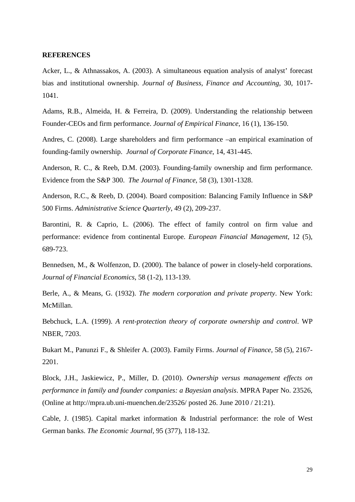#### **REFERENCES**

Acker, L., & Athnassakos, A. (2003). A simultaneous equation analysis of analyst' forecast bias and institutional ownership. *Journal of Business, Finance and Accounting*, 30, 1017- 1041.

Adams, R.B., Almeida, H. & Ferreira, D. (2009). Understanding the relationship between Founder-CEOs and firm performance. *Journal of Empirical Finance*, 16 (1), 136-150.

Andres, C. (2008). Large shareholders and firm performance –an empirical examination of founding-family ownership. *Journal of Corporate Finance*, 14, 431-445.

Anderson, R. C., & Reeb, D.M. (2003). Founding-family ownership and firm performance. Evidence from the S&P 300. *The Journal of Finance*, 58 (3), 1301-1328.

Anderson, R.C., & Reeb, D. (2004). Board composition: Balancing Family Influence in S&P 500 Firms. *Administrative Science Quarterly*, 49 (2), 209-237.

Barontini, R. & Caprio, L. (2006). The effect of family control on firm value and performance: evidence from continental Europe. *European Financial Management*, 12 (5), 689-723.

Bennedsen, M., & Wolfenzon, D. (2000). The balance of power in closely-held corporations. *Journal of Financial Economics*, 58 (1-2), 113-139.

Berle, A., & Means, G. (1932). *The modern corporation and private property*. New York: McMillan.

Bebchuck, L.A. (1999). *A rent-protection theory of corporate ownership and control*. WP NBER, 7203.

Bukart M., Panunzi F., & Shleifer A. (2003). Family Firms. *Journal of Finance,* 58 (5), 2167- 2201.

Block, J.H., Jaskiewicz, P., Miller, D. (2010). *Ownership versus management effects on performance in family and founder companies: a Bayesian analysis*. MPRA Paper No. 23526, (Online at<http://mpra.ub.uni-muenchen.de/23526/> posted 26. June 2010 / 21:21).

Cable, J. (1985). Capital market information & Industrial performance: the role of West German banks. *The Economic Journal*, 95 (377), 118-132.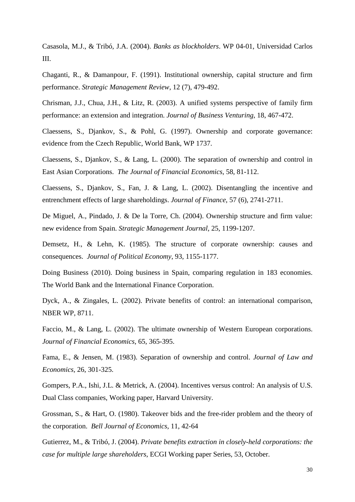Casasola, M.J., & Tribó, J.A. (2004). *Banks as blockholders*. WP 04-01, Universidad Carlos III.

Chaganti, R., & Damanpour, F. (1991). Institutional ownership, capital structure and firm performance. *Strategic Management Review*, 12 (7), 479-492.

Chrisman, J.J., Chua, J.H., & Litz, R. (2003). A unified systems perspective of family firm performance: an extension and integration. *Journal of Business Venturing*, 18, 467-472.

Claessens, S., Djankov, S., & Pohl, G. (1997). Ownership and corporate governance: evidence from the Czech Republic, World Bank, WP 1737.

Claessens, S., Djankov, S., & Lang, L. (2000). The separation of ownership and control in East Asian Corporations. *The Journal of Financial Economics*, 58, 81-112.

Claessens, S., Djankov, S., Fan, J. & Lang, L. (2002). Disentangling the incentive and entrenchment effects of large shareholdings. *Journal of Finance*, 57 (6), 2741-2711.

De Miguel, A., Pindado, J. & De la Torre, Ch. (2004). Ownership structure and firm value: new evidence from Spain. *Strategic Management Journal*, 25, 1199-1207.

Demsetz, H., & Lehn, K. (1985). The structure of corporate ownership: causes and consequences. *Journal of Political Economy*, 93, 1155-1177.

Doing Business (2010). Doing business in Spain, comparing regulation in 183 economies. The World Bank and the International Finance Corporation.

Dyck, A., & Zingales, L. (2002). Private benefits of control: an international comparison, NBER WP, 8711.

Faccio, M., & Lang, L. (2002). The ultimate ownership of Western European corporations. *Journal of Financial Economics*, 65, 365-395.

Fama, E., & Jensen, M. (1983). Separation of ownership and control. *Journal of Law and Economics,* 26, 301-325.

Gompers, P.A., Ishi, J.L. & Metrick, A. (2004). Incentives versus control: An analysis of U.S. Dual Class companies, Working paper, Harvard University.

Grossman, S., & Hart, O. (1980). Takeover bids and the free-rider problem and the theory of the corporation. *Bell Journal of Economics*, 11, 42-64

Gutierrez, M., & Tribó, J. (2004). *Private benefits extraction in closely-held corporations: the case for multiple large shareholders*, ECGI Working paper Series, 53, October.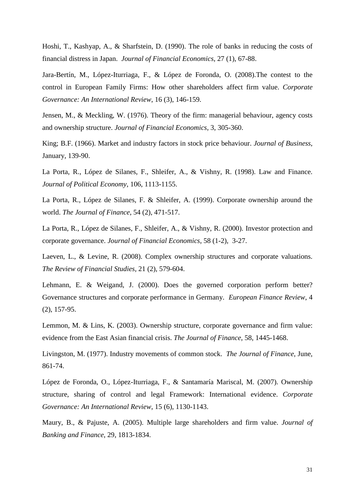Hoshi, T., Kashyap, A., & Sharfstein, D. (1990). The role of banks in reducing the costs of financial distress in Japan. *Journal of Financial Economics*, 27 (1), 67-88.

Jara-Bertín, M., López-Iturriaga, F., & López de Foronda, O. (2008).The contest to the control in European Family Firms: How other shareholders affect firm value. *Corporate Governance: An International Review*, 16 (3), 146-159.

Jensen, M., & Meckling, W. (1976). Theory of the firm: managerial behaviour, agency costs and ownership structure. *Journal of Financial Economics*, 3, 305-360.

King; B.F. (1966). Market and industry factors in stock price behaviour. *Journal of Business*, January, 139-90.

La Porta, R., López de Silanes, F., Shleifer, A., & Vishny, R. (1998). Law and Finance. *Journal of Political Economy*, 106, 1113-1155.

La Porta, R., López de Silanes, F. & Shleifer, A. (1999). Corporate ownership around the world. *The Journal of Finance*, 54 (2), 471-517.

La Porta, R., López de Silanes, F., Shleifer, A., & Vishny, R. (2000). Investor protection and corporate governance. *Journal of Financial Economics*, 58 (1-2), 3-27.

Laeven, L., & Levine, R. (2008). Complex ownership structures and corporate valuations. *The Review of Financial Studies,* 21 (2), 579-604.

Lehmann, E. & Weigand, J. (2000). Does the governed corporation perform better? Governance structures and corporate performance in Germany. *European Finance Review*, 4 (2), 157-95.

Lemmon, M. & Lins, K. (2003). Ownership structure, corporate governance and firm value: evidence from the East Asian financial crisis. *The Journal of Finance*, 58, 1445-1468.

Livingston, M. (1977). Industry movements of common stock. *The Journal of Finance*, June, 861-74.

López de Foronda, O., López-Iturriaga, F., & Santamaría Mariscal, M. (2007). Ownership structure, sharing of control and legal Framework: International evidence. *Corporate Governance: An International Review*, 15 (6), 1130-1143.

Maury, B., & Pajuste, A. (2005). Multiple large shareholders and firm value. *Journal of Banking and Finance*, 29, 1813-1834.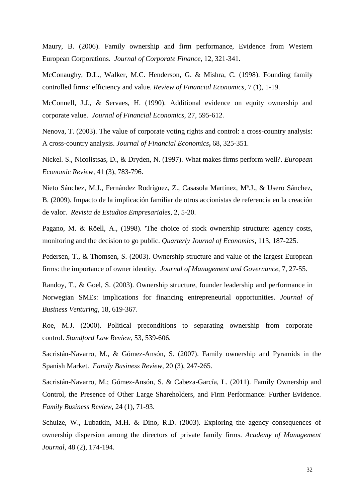Maury, B. (2006). Family ownership and firm performance, Evidence from Western European Corporations. *Journal of Corporate Finance*, 12, 321-341.

McConaughy, D.L., Walker, M.C. Henderson, G. & Mishra, C. (1998). Founding family controlled firms: efficiency and value. *Review of Financial Economics*, 7 (1), 1-19.

McConnell, J.J., & Servaes, H. (1990). Additional evidence on equity ownership and corporate value. *Journal of Financial Economics*, 27, 595-612.

Nenova, T. (2003). The value of corporate voting rights and control: a cross-country analysis: A cross-country analysis. *Journal of Financial Economics***,** 68, 325-351.

Nickel. S., Nicolistsas, D., & Dryden, N. (1997). What makes firms perform well?. *European Economic Review*, 41 (3), 783-796.

Nieto Sánchez, M.J., Fernández Rodríguez, Z., Casasola Martínez, Mª.J., & Usero Sánchez, B. (2009). Impacto de la implicación familiar de otros accionistas de referencia en la creación de valor. *Revista de Estudios Empresariales*, 2, 5-20.

Pagano, M. & Röell, A., (1998). 'The choice of stock ownership structure: agency costs, monitoring and the decision to go public. *Quarterly Journal of Economics*, 113, 187-225.

Pedersen, T., & Thomsen, S. (2003). Ownership structure and value of the largest European firms: the importance of owner identity. *Journal of Management and Governance*, 7, 27-55.

Randoy, T., & Goel, S. (2003). Ownership structure, founder leadership and performance in Norwegian SMEs: implications for financing entrepreneurial opportunities. *Journal of Business Venturing*, 18, 619-367.

Roe, M.J. (2000). Political preconditions to separating ownership from corporate control. *Standford Law Review*, 53, 539-606.

Sacristán-Navarro, M., & Gómez-Ansón, S. (2007). Family ownership and Pyramids in the Spanish Market. *Family Business Review*, 20 (3), 247-265.

Sacristán-Navarro, M.; Gómez-Ansón, S. & Cabeza-García, L. (2011). Family Ownership and Control, the Presence of Other Large Shareholders, and Firm Performance: Further Evidence. *Family Business Review*, 24 (1), 71-93.

Schulze, W., Lubatkin, M.H. & Dino, R.D. (2003). Exploring the agency consequences of ownership dispersion among the directors of private family firms. *Academy of Management Journal*, 48 (2), 174-194.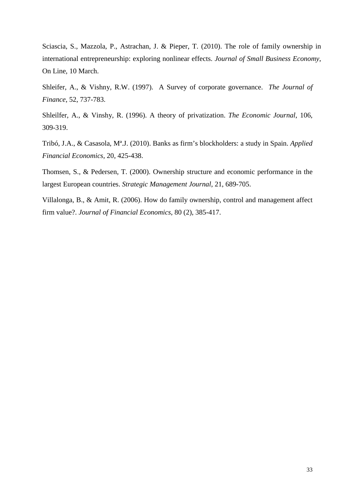Sciascia, S., Mazzola, P., Astrachan, J. & Pieper, T. (2010). The role of family ownership in international entrepreneurship: exploring nonlinear effects. *Journal of Small Business Economy*, On Line, 10 March.

Shleifer, A., & Vishny, R.W. (1997). A Survey of corporate governance. *The Journal of Finance*, 52, 737-783.

Shleilfer, A., & Vinshy, R. (1996). A theory of privatization. *The Economic Journal*, 106, 309-319.

Tribó, J.A., & Casasola, Mª.J. (2010). Banks as firm's blockholders: a study in Spain. *Applied Financial Economics*, 20, 425-438.

Thomsen, S., & Pedersen, T. (2000). Ownership structure and economic performance in the largest European countries. *Strategic Management Journal*, 21, 689-705.

Villalonga, B., & Amit, R. (2006). How do family ownership, control and management affect firm value?. *Journal of Financial Economics*, 80 (2), 385-417.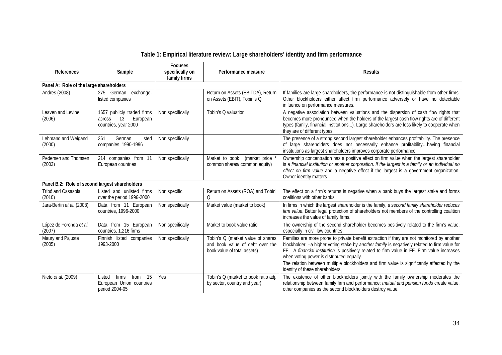# **Table 1: Empirical literature review: Large shareholders' identity and firm performance**

| References                                     | Sample                                                                         | <b>Focuses</b><br>specifically on<br>family firms | Performance measure                                                                                 | <b>Results</b>                                                                                                                                                                                                                                                                                                                                                                                                                                                            |
|------------------------------------------------|--------------------------------------------------------------------------------|---------------------------------------------------|-----------------------------------------------------------------------------------------------------|---------------------------------------------------------------------------------------------------------------------------------------------------------------------------------------------------------------------------------------------------------------------------------------------------------------------------------------------------------------------------------------------------------------------------------------------------------------------------|
| Panel A: Role of the large shareholders        |                                                                                |                                                   |                                                                                                     |                                                                                                                                                                                                                                                                                                                                                                                                                                                                           |
| <b>Andres (2008)</b>                           | 275 German exchange-<br>listed companies                                       |                                                   | Return on Assets (EBITDA), Return<br>on Assets (EBIT), Tobin's Q                                    | If families are large shareholders, the performance is not distinguishable from other firms.<br>Other blockholders either affect firm performance adversely or have no detectable<br>influence on performance measures.                                                                                                                                                                                                                                                   |
| Leaven and Levine<br>(2006)                    | 1657 publicly traded firms<br>European<br>13<br>across<br>countries, year 2000 | Non specifically                                  | Tobin's Q valuation                                                                                 | A negative association between valuations and the dispersion of cash flow rights that<br>becomes more pronounced when the holders of the largest cash flow rights are of different<br>types (family, financial institutions). Large shareholders are less likely to cooperate when<br>they are of different types.                                                                                                                                                        |
| Lehmand and Weigand<br>(2000)                  | 361<br>German<br>listed<br>companies, 1990-1996                                | Non specifically                                  |                                                                                                     | The presence of a strong second largest shareholder enhances profitability. The presence<br>of large shareholders does not necessarily enhance profitabilityhaving financial<br>institutions as largest shareholders improves corporate performance.                                                                                                                                                                                                                      |
| Pedersen and Thomsen<br>(2003)                 | 214 companies from 11<br>European countries                                    | Non specifically                                  | Market to book<br>(market price<br>common shares/ common equity)                                    | Ownership concentration has a positive effect on firm value when the largest shareholder<br>is a financial institution or another corporation. If the largest is a family or an individual no<br>effect on firm value and a negative effect if the largest is a government organization.<br>Owner identity matters.                                                                                                                                                       |
| Panel B.2: Role of second largest shareholders |                                                                                |                                                   |                                                                                                     |                                                                                                                                                                                                                                                                                                                                                                                                                                                                           |
| Tribó and Casasola<br>(2010)                   | Listed and unlisted firms<br>over the period 1996-2000                         | Non specific                                      | Return on Assets (ROA) and Tobin'<br>Q                                                              | The effect on a firm's returns is negative when a bank buys the largest stake and forms<br>coalitions with other banks.                                                                                                                                                                                                                                                                                                                                                   |
| Jara-Bertin et al. (2008)                      | Data from 11 European<br>countries, 1996-2000                                  | Non specifically                                  | Market value (market to book)                                                                       | In firms in which the largest shareholder is the family, a second family shareholder reduces<br>firm value. Better legal protection of shareholders not members of the controlling coalition<br>increases the value of family firms.                                                                                                                                                                                                                                      |
| López de Foronda et al.<br>(2007)              | Data from 15 European<br>countries, 1,216 firms                                | Non specifically                                  | Market to book value ratio                                                                          | The ownership of the second shareholder becomes positively related to the firm's value,<br>especially in civil law countries.                                                                                                                                                                                                                                                                                                                                             |
| Maury and Pajuste<br>(2005)                    | Finnish listed companies<br>1993-2000                                          | Non specifically                                  | Tobin's Q (market value of shares<br>and book value of debt over the<br>book value of total assets) | Families are more prone to private benefit extraction if they are not monitored by another<br>blockholder. - a higher voting stake by another family is negatively related to firm value for<br>FF. A financial institution is positively related to firm value in FF. Firm value increases<br>when voting power is distributed equally.<br>The relation between multiple blockholders and firm value is significantly affected by the<br>identity of these shareholders. |
| Nieto et al. (2009)                            | 15<br>firms<br>Listed<br>from<br>European Union countries<br>period 2004-05    | Yes                                               | Tobin's Q (market to book ratio adj.<br>by sector, country and year)                                | The existence of other blockholders jointly with the family ownership moderates the<br>relationship between family firm and performance: mutual and pension funds create value,<br>other companies as the second blockholders destroy value.                                                                                                                                                                                                                              |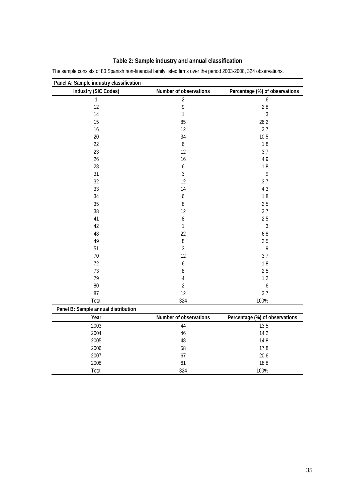| Industry (SIC Codes)                | Number of observations | Percentage (%) of observations |
|-------------------------------------|------------------------|--------------------------------|
| $\mathbf{1}$                        | $\overline{2}$         | 6.6                            |
| 12                                  | 9                      | 2.8                            |
| 14                                  | $\mathbf{1}$           | $.3\,$                         |
| 15                                  | 85                     | 26.2                           |
| 16                                  | 12                     | 3.7                            |
| 20                                  | 34                     | 10.5                           |
| 22                                  | $\boldsymbol{6}$       | 1.8                            |
| 23                                  | 12                     | 3.7                            |
| 26                                  | 16                     | 4.9                            |
| 28                                  | $\boldsymbol{6}$       | 1.8                            |
| 31                                  | $\mathfrak{Z}$         | .9                             |
| 32                                  | 12                     | 3.7                            |
| 33                                  | 14                     | 4.3                            |
| 34                                  | $\boldsymbol{6}$       | 1.8                            |
| 35                                  | $\, 8$                 | 2.5                            |
| 38                                  | 12                     | 3.7                            |
| 41                                  | $\, 8$                 | 2.5                            |
| 42                                  | $\mathbf{1}$           | $.3\phantom{0}$                |
| 48                                  | 22                     | 6.8                            |
| 49                                  | $\, 8$                 | 2.5                            |
| 51                                  | $\mathfrak{Z}$         | .9                             |
| 70                                  | 12                     | 3.7                            |
| 72                                  | $\boldsymbol{6}$       | 1.8                            |
| 73                                  | $\, 8$                 | 2.5                            |
| 79                                  | 4                      | 1.2                            |
| 80                                  | $\overline{2}$         | $6.6$                          |
| 87                                  | 12                     | 3.7                            |
| Total                               | 324                    | 100%                           |
| Panel B: Sample annual distribution |                        |                                |
| Year                                | Number of observations | Percentage (%) of observations |
| 2003                                | 44                     | 13.5                           |
| 2004                                | 46                     | 14.2                           |
| 2005                                | 48                     | 14.8                           |
| 2006                                | 58                     | 17.8                           |
| 2007                                | 67                     | 20.6                           |
| 2008                                | 61                     | 18.8                           |
| Total                               | 324                    | 100%                           |

# **Table 2: Sample industry and annual classification**

The sample consists of 80 Spanish non-financial family listed firms over the period 2003-2008, 324 observations.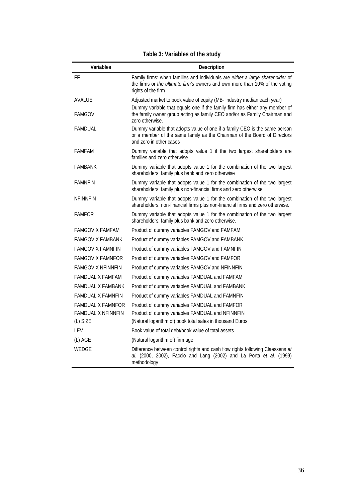# **Table 3: Variables of the study**

| Variables                 | Description                                                                                                                                                                        |
|---------------------------|------------------------------------------------------------------------------------------------------------------------------------------------------------------------------------|
| FF                        | Family firms: when families and individuals are either a large shareholder of<br>the firms or the ultimate firm's owners and own more than 10% of the voting<br>rights of the firm |
| <b>AVALUE</b>             | Adjusted market to book value of equity (MB- industry median each year)                                                                                                            |
| <b>FAMGOV</b>             | Dummy variable that equals one if the family firm has either any member of<br>the family owner group acting as family CEO and/or as Family Chairman and<br>zero otherwise.         |
| <b>FAMDUAL</b>            | Dummy variable that adopts value of one if a family CEO is the same person<br>or a member of the same family as the Chairman of the Board of Directors<br>and zero in other cases  |
| <b>FAMFAM</b>             | Dummy variable that adopts value 1 if the two largest shareholders are<br>families and zero otherwise                                                                              |
| <b>FAMBANK</b>            | Dummy variable that adopts value 1 for the combination of the two largest<br>shareholders: family plus bank and zero otherwise                                                     |
| <b>FAMNFIN</b>            | Dummy variable that adopts value 1 for the combination of the two largest<br>shareholders: family plus non-financial firms and zero otherwise.                                     |
| <b>NEINNEIN</b>           | Dummy variable that adopts value 1 for the combination of the two largest<br>shareholders: non-financial firms plus non-financial firms and zero otherwise.                        |
| <b>FAMFOR</b>             | Dummy variable that adopts value 1 for the combination of the two largest<br>shareholders: family plus bank and zero otherwise.                                                    |
| <b>FAMGOV X FAMFAM</b>    | Product of dummy variables FAMGOV and FAMFAM                                                                                                                                       |
| <b>FAMGOV X FAMBANK</b>   | Product of dummy variables FAMGOV and FAMBANK                                                                                                                                      |
| <b>FAMGOV X FAMNEIN</b>   | Product of dummy variables FAMGOV and FAMNFIN                                                                                                                                      |
| <b>FAMGOV X FAMNFOR</b>   | Product of dummy variables FAMGOV and FAMFOR                                                                                                                                       |
| <b>FAMGOV X NFINNFIN</b>  | Product of dummy variables FAMGOV and NFINNFIN                                                                                                                                     |
| <b>FAMDUAL X FAMFAM</b>   | Product of dummy variables FAMDUAL and FAMFAM                                                                                                                                      |
| FAMDUAL X FAMBANK         | Product of dummy variables FAMDUAL and FAMBANK                                                                                                                                     |
| <b>FAMDUAL X FAMNEIN</b>  | Product of dummy variables FAMDUAL and FAMNFIN                                                                                                                                     |
| <b>FAMDUAL X FAMNFOR</b>  | Product of dummy variables FAMDUAL and FAMFOR                                                                                                                                      |
| <b>FAMDUAL X NFINNFIN</b> | Product of dummy variables FAMDUAL and NFINNFIN                                                                                                                                    |
| (L) SIZE                  | (Natural logarithm of) book total sales in thousand Euros                                                                                                                          |
| LEV                       | Book value of total debt/book value of total assets                                                                                                                                |
| (L) AGE                   | (Natural logarithm of) firm age                                                                                                                                                    |
| <b>WEDGE</b>              | Difference between control rights and cash flow rights following Claessens et<br>al. (2000, 2002), Faccio and Lang (2002) and La Porta et al. (1999)<br>methodology                |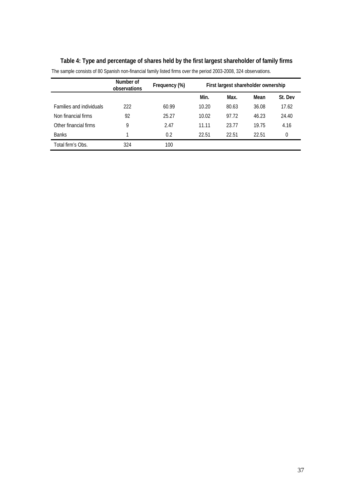|                                 | Number of<br>observations | Frequency (%) |       | First largest shareholder ownership |       |         |
|---------------------------------|---------------------------|---------------|-------|-------------------------------------|-------|---------|
|                                 |                           |               | Min.  | Max.                                | Mean  | St. Dev |
| <b>Families and individuals</b> | 222                       | 60.99         | 10.20 | 80.63                               | 36.08 | 17.62   |
| Non financial firms             | 92                        | 25.27         | 10.02 | 97.72                               | 46.23 | 24.40   |
| Other financial firms           | 9                         | 2.47          | 11.11 | 23.77                               | 19.75 | 4.16    |
| <b>Banks</b>                    |                           | 0.2           | 22.51 | 22.51                               | 22.51 | 0       |
| Total firm's Obs.               | 324                       | 100           |       |                                     |       |         |

# **Table 4: Type and percentage of shares held by the first largest shareholder of family firms**

The sample consists of 80 Spanish non-financial family listed firms over the period 2003-2008, 324 observations.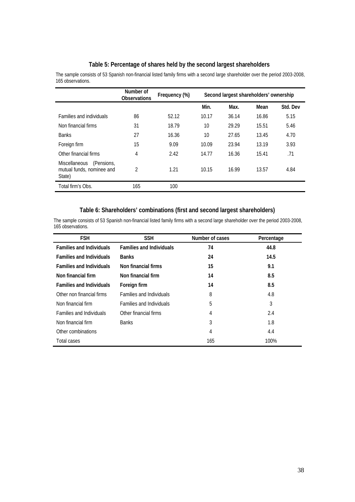#### **Table 5: Percentage of shares held by the second largest shareholders**

The sample consists of 53 Spanish non-financial listed family firms with a second large shareholder over the period 2003-2008, 165 observations.

|                                                                           | Number of<br><b>Observations</b> | Frequency (%) |       | Second largest shareholders' ownership |       |          |
|---------------------------------------------------------------------------|----------------------------------|---------------|-------|----------------------------------------|-------|----------|
|                                                                           |                                  |               | Min.  | Max.                                   | Mean  | Std. Dev |
| <b>Families and individuals</b>                                           | 86                               | 52.12         | 10.17 | 36.14                                  | 16.86 | 5.15     |
| Non financial firms                                                       | 31                               | 18.79         | 10    | 29.29                                  | 15.51 | 5.46     |
| <b>Banks</b>                                                              | 27                               | 16.36         | 10    | 27.65                                  | 13.45 | 4.70     |
| Foreign firm                                                              | 15                               | 9.09          | 10.09 | 23.94                                  | 13.19 | 3.93     |
| Other financial firms                                                     | 4                                | 2.42          | 14.77 | 16.36                                  | 15.41 | .71      |
| (Pensions,<br><b>Miscellaneous</b><br>mutual funds, nominee and<br>State) | $\mathfrak{D}$                   | 1.21          | 10.15 | 16.99                                  | 13.57 | 4.84     |
| Total firm's Obs.                                                         | 165                              | 100           |       |                                        |       |          |

#### **Table 6: Shareholders' combinations (first and second largest shareholders)**

The sample consists of 53 Spanish non-financial listed family firms with a second large shareholder over the period 2003-2008, 165 observations.

| <b>FSH</b>                      | <b>SSH</b>                      | Number of cases | Percentage |
|---------------------------------|---------------------------------|-----------------|------------|
| <b>Families and Individuals</b> | <b>Families and Individuals</b> | 74              | 44.8       |
| <b>Families and Individuals</b> | <b>Banks</b>                    | 24              | 14.5       |
| <b>Families and Individuals</b> | Non financial firms             | 15              | 9.1        |
| Non financial firm              | Non financial firm              | 14              | 8.5        |
| <b>Families and Individuals</b> | Foreign firm                    | 14              | 8.5        |
| Other non financial firms       | <b>Families and Individuals</b> | 8               | 4.8        |
| Non financial firm              | <b>Families and Individuals</b> | 5               | 3          |
| <b>Families and Individuals</b> | Other financial firms           | 4               | 2.4        |
| Non financial firm              | <b>Banks</b>                    | 3               | 1.8        |
| Other combinations              |                                 | 4               | 4.4        |
| Total cases                     |                                 | 165             | 100%       |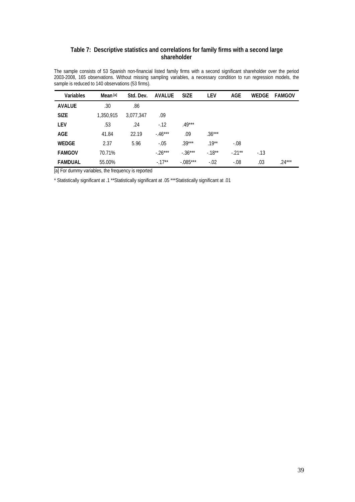#### **Table 7: Descriptive statistics and correlations for family firms with a second large shareholder**

The sample consists of 53 Spanish non-financial listed family firms with a second significant shareholder over the period 2003-2008, 165 observations. Without missing sampling variables, a necessary condition to run regression models, the sample is reduced to 140 observations (53 firms).

| <b>Variables</b> | Mean <sup>[a]</sup> | Std. Dev. | <b>AVALUE</b> | <b>SIZE</b> | <b>LEV</b> | <b>AGE</b> | WEDGE | <b>FAMGOV</b> |
|------------------|---------------------|-----------|---------------|-------------|------------|------------|-------|---------------|
| <b>AVALUE</b>    | .30                 | .86       |               |             |            |            |       |               |
| <b>SIZE</b>      | 1,350,915           | 3,077,347 | .09           |             |            |            |       |               |
| <b>LEV</b>       | .53                 | .24       | $-12$         | $.49***$    |            |            |       |               |
| <b>AGE</b>       | 41.84               | 22.19     | $-46***$      | .09         | $.36***$   |            |       |               |
| <b>WEDGE</b>     | 2.37                | 5.96      | $-.05$        | $.39***$    | $.19***$   | $-.08$     |       |               |
| <b>FAMGOV</b>    | 70.71%              |           | $-26***$      | $-.36***$   | $-18**$    | $-.21**$   | $-13$ |               |
| <b>FAMDUAL</b>   | 55.00%              |           | $-17**$       | $-.085***$  | $-.02$     | $-.08$     | .03   | $.24***$      |

[a] For dummy variables, the frequency is reported

\* Statistically significant at .1 \*\*Statistically significant at .05 \*\*\*Statistically significant at .01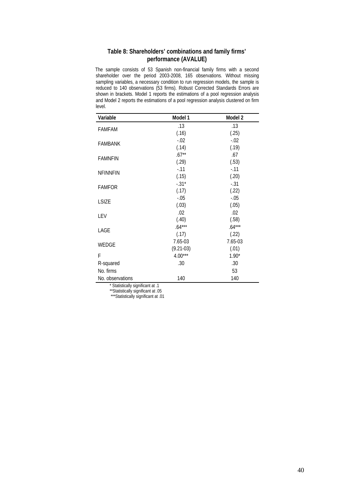#### **Table 8: Shareholders' combinations and family firms' performance (AVALUE)**

The sample consists of 53 Spanish non-financial family firms with a second shareholder over the period 2003-2008, 165 observations. Without missing sampling variables, a necessary condition to run regression models, the sample is reduced to 140 observations (53 firms). Robust Corrected Standards Errors are shown in brackets. Model 1 reports the estimations of a pool regression analysis and Model 2 reports the estimations of a pool regression analysis clustered on firm level.

| Variable         | Model 1     | Model 2  |
|------------------|-------------|----------|
|                  | .13         | .13      |
| <b>FAMFAM</b>    | (.16)       | (.25)    |
|                  | $-.02$      | $-.02$   |
| <b>FAMBANK</b>   | (.14)       | (.19)    |
| <b>FAMNFIN</b>   | $.67**$     | .67      |
|                  | (.29)       | (.53)    |
| <b>NFINNFIN</b>  | $-11$       | $-.11$   |
|                  | (.15)       | (.20)    |
| <b>FAMFOR</b>    | $-.31*$     | $-.31$   |
|                  | (.17)       | (.22)    |
| <b>LSIZE</b>     | $-.05$      | $-.05$   |
|                  | (.03)       | (.05)    |
| LEV              | .02         | .02      |
|                  | (.40)       | (.58)    |
| LAGE             | $.64***$    | $.64***$ |
|                  | (.17)       | (.22)    |
| WEDGE            | 7.65-03     | 7.65-03  |
|                  | $(9.21-03)$ | (.01)    |
| F                | $4.00***$   | $1.90*$  |
| R-squared        | .30         | .30      |
| No. firms        |             | 53       |
| No. observations | 140         | 140      |

\* Statistically significant at .1

\*\*Statistically significant at .05 \*\*\*Statistically significant at .01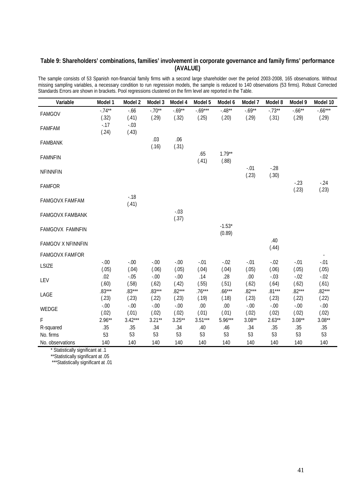### **Table 9: Shareholders' combinations, families' involvement in corporate governance and family firms' performance (AVALUE)**

The sample consists of 53 Spanish non-financial family firms with a second large shareholder over the period 2003-2008, 165 observations. Without missing sampling variables, a necessary condition to run regression models, the sample is reduced to 140 observations (53 firms). Robust Corrected Standards Errors are shown in brackets. Pool regressions clustered on the firm level are reported in the Table.

| Variable                 | Model 1           | Model 2           | Model 3           | Model 4            | Model 5            | Model 6            | Model 7            | Model 8           | Model 9            | Model 10           |
|--------------------------|-------------------|-------------------|-------------------|--------------------|--------------------|--------------------|--------------------|-------------------|--------------------|--------------------|
| <b>FAMGOV</b>            | $-.74**$<br>(.32) | $-0.66$<br>(.41)  | $-.70**$<br>(.29) | $-0.69**$<br>(.32) | $-.69***$<br>(.25) | $-.48**$<br>(.20)  | $-0.69**$<br>(.29) | $-.73**$<br>(.31) | $-0.66**$<br>(.29) | $-.66***$<br>(.29) |
| <b>FAMFAM</b>            | $-0.17$<br>(.24)  | $-.03$<br>(.43)   |                   |                    |                    |                    |                    |                   |                    |                    |
| <b>FAMBANK</b>           |                   |                   | .03<br>(.16)      | .06<br>(.31)       |                    |                    |                    |                   |                    |                    |
| <b>FAMNFIN</b>           |                   |                   |                   |                    | .65<br>(.41)       | $1.79**$<br>(.88)  |                    |                   |                    |                    |
| <b>NFINNFIN</b>          |                   |                   |                   |                    |                    |                    | $-.01$<br>(.23)    | $-28$<br>(.30)    |                    |                    |
| <b>FAMFOR</b>            |                   |                   |                   |                    |                    |                    |                    |                   | $-23$<br>(.23)     | $-24$<br>(.23)     |
| FAMGOVX FAMFAM           |                   | $-0.18$<br>(.41)  |                   |                    |                    |                    |                    |                   |                    |                    |
| <b>FAMGOVX FAMBANK</b>   |                   |                   |                   | $-.03$<br>(.37)    |                    |                    |                    |                   |                    |                    |
| <b>FAMGOVX FAMNFIN</b>   |                   |                   |                   |                    |                    | $-1.53*$<br>(0.89) |                    |                   |                    |                    |
| <b>FAMGOV X NFINNFIN</b> |                   |                   |                   |                    |                    |                    |                    | .40<br>(.44)      |                    |                    |
| <b>FAMGOVX FAMFOR</b>    |                   |                   |                   |                    |                    |                    |                    |                   |                    |                    |
| <b>LSIZE</b>             | $-.00$<br>(.05)   | $-.00$<br>(.04)   | $-.00$<br>(.06)   | $-0.00$<br>(.05)   | $-.01$<br>(.04)    | $-.02$<br>(.04)    | $-.01$<br>(.05)    | $-.02$<br>(.06)   | $-.01$<br>(.05)    | $-.01$<br>(.05)    |
| LEV                      | .02<br>(.60)      | $-.05$<br>(.58)   | $-.00$<br>(.62)   | $-0.00$<br>(.42)   | .14<br>(.55)       | .28<br>(.51)       | .00.<br>(.62)      | $-.03$<br>(.64)   | $-.02$<br>(.62)    | $-0.02$<br>(.61)   |
| LAGE                     | $.83***$<br>(.23) | $.83***$<br>(.23) | $.83***$<br>(.22) | $.82***$<br>(.23)  | $.76***$<br>(.19)  | $.66***$<br>(.18)  | $.82***$<br>(.23)  | $.81***$<br>(.23) | $.82***$<br>(.22)  | $.82***$<br>(.22)  |
| WEDGE                    | $-.00$<br>(.02)   | $-.00$<br>(.01)   | $-.00$<br>(.02)   | $-0.00$<br>(.02)   | .00<br>(.01)       | .00<br>(.01)       | $-0.00$<br>(.02)   | $-.00$<br>(.02)   | $-0.00$<br>(.02)   | $-.00$<br>(.02)    |
| F                        | $2.96**$          | $3.42***$         | $3.21**$          | $3.25**$           | $3.51***$          | $5.96***$          | $3.08**$           | $2.63**$          | $3.08**$           | $3.08**$           |
| R-squared                | .35               | .35               | .34               | .34                | .40                | .46                | .34                | .35               | .35                | .35                |
| No. firms                | 53                | 53                | 53                | 53                 | 53                 | 53                 | 53                 | 53                | 53                 | 53                 |
| No. observations         | 140               | 140               | 140               | 140                | 140                | 140                | 140                | 140               | 140                | 140                |

\* Statistically significant at .1

\*\*Statistically significant at .05

\*\*\*Statistically significant at .01